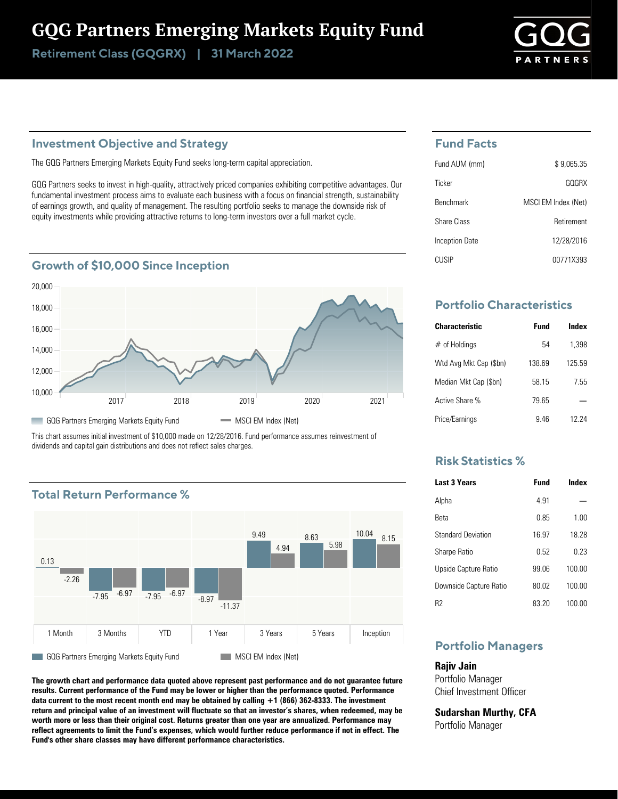# GQG Partners Emerging Markets Equity Fund

Retirement Class (GQGRX) | 31 March 2022

# **Investment Objective and Strategy**

The GQG Partners Emerging Markets Equity Fund seeks long-term capital appreciation.

GQG Partners seeks to invest in high-quality, attractively priced companies exhibiting competitive advantages. Our fundamental investment process aims to evaluate each business with a focus on financial strength, sustainability of earnings growth, and quality of management. The resulting portfolio seeks to manage the downside risk of equity investments while providing attractive returns to long-term investors over a full market cycle.

# **Growth of \$10,000 Since Inception**



This chart assumes initial investment of \$10,000 made on 12/28/2016. Fund performance assumes reinvestment of dividends and capital gain distributions and does not reflect sales charges.

# **Total Return Performance %**



**The growth chart and performance data quoted above represent past performance and do not guarantee future results. Current performance of the Fund may be lower or higher than the performance quoted. Performance data current to the most recent month end may be obtained by calling +1 (866) 362-8333. The investment return and principal value of an investment will fluctuate so that an investor's shares, when redeemed, may be worth more or less than their original cost. Returns greater than one year are annualized. Performance may reflect agreements to limit the Fund's expenses, which would further reduce performance if not in effect. The Fund's other share classes may have different performance characteristics.**

# **Fund Facts**

| Fund AUM (mm)    | \$9.065.35          |
|------------------|---------------------|
| Ticker           | GOGRX               |
| <b>Benchmark</b> | MSCI EM Index (Net) |
| Share Class      | Retirement          |
| Inception Date   | 12/28/2016          |
| CUSIP            | 00771X393           |

# **Portfolio Characteristics**

| <b>Characteristic</b>  | Fund   | Index  |
|------------------------|--------|--------|
| $#$ of Holdings        | 54     | 1.398  |
| Wtd Avg Mkt Cap (\$bn) | 138 69 | 125 59 |
| Median Mkt Cap (\$bn)  | 58 15  | 7.55   |
| Active Share %         | 79 65  |        |
| Price/Earnings         | 946    | 12 24  |

## **Risk Statistics %**

| <b>Last 3 Years</b>       | <b>Fund</b> | Index  |
|---------------------------|-------------|--------|
| Alpha                     | 4 91        |        |
| Reta                      | 0.85        | 1.00   |
| <b>Standard Deviation</b> | 16.97       | 18 28  |
| <b>Sharpe Ratio</b>       | 0.52        | በ 23   |
| Upside Capture Ratio      | 99.06       | 100.00 |
| Downside Capture Ratio    | 80.02       | 100.00 |
| R2                        | 83.20       | 100.00 |

# **Portfolio Managers**

**Rajiv Jain** Portfolio Manager Chief Investment Officer

**Sudarshan Murthy, CFA** Portfolio Manager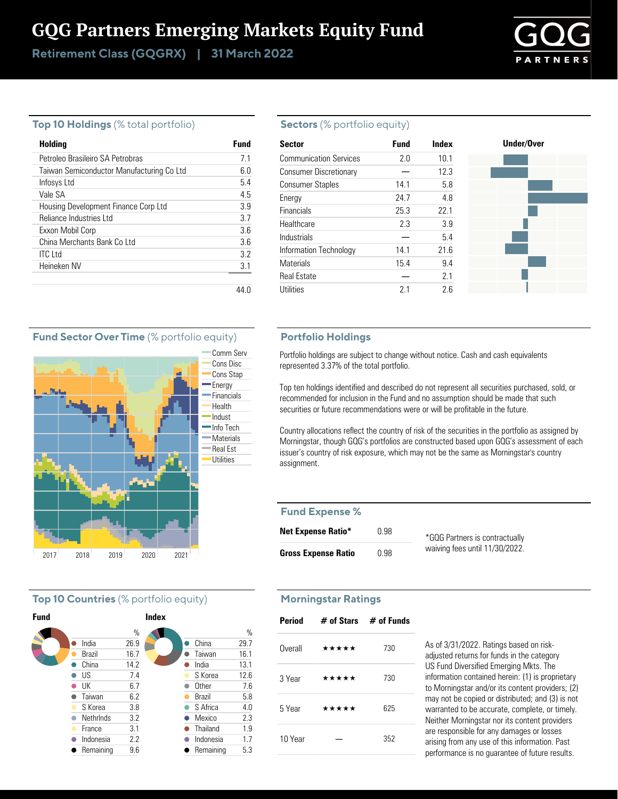# GQG Partners Emerging Markets Equity Fund

Retirement Class (GQGRX) | 31 March 2022



## **Top 10 Holdings** (% total portfolio)

| Holding                                   | Fund |
|-------------------------------------------|------|
| Petroleo Brasileiro SA Petrobras          | 71   |
| Taiwan Semiconductor Manufacturing Co Ltd | 60   |
| Infosys Ltd                               | 5.4  |
| Vale SA                                   | 45   |
| Housing Development Finance Corp Ltd      | 39   |
| Reliance Industries Ltd                   | 37   |
| Exxon Mobil Corp                          | 3.6  |
| China Merchants Bank Co Ltd               | 3.6  |
| <b>ITC</b> Ltd                            | 32   |
| Heineken NV                               | 3.1  |
|                                           |      |

#### **Sectors** (% portfolio equity)

| <b>Sector</b>                 | <b>Fund</b> | Index | Under/Over |
|-------------------------------|-------------|-------|------------|
| <b>Communication Services</b> | 2.0         | 10.1  |            |
| <b>Consumer Discretionary</b> |             | 12.3  |            |
| <b>Consumer Staples</b>       | 14.1        | 5.8   |            |
| Energy                        | 24.7        | 4.8   |            |
| Financials                    | 25.3        | 22.1  |            |
| Healthcare                    | 2.3         | 3.9   |            |
| Industrials                   |             | 5.4   |            |
| Information Technology        | 14.1        | 21.6  |            |
| <b>Materials</b>              | 15.4        | 9.4   |            |
| <b>Real Estate</b>            |             | 2.1   |            |
| <b>Utilities</b>              | 2.1         | 2.6   |            |

#### **Portfolio Holdings**

Portfolio holdings are subject to change without notice. Cash and cash equivalents represented 3.37% of the total portfolio.

Top ten holdings identified and described do not represent all securities purchased, sold, or recommended for inclusion in the Fund and no assumption should be made that such securities or future recommendations were or will be profitable in the future.

Country allocations reflect the country of risk of the securities in the portfolio as assigned by Morningstar, though GQG's portfolios are constructed based upon GQG's assessment of each issuer's country of risk exposure, which may not be the same as Morningstar's country assignment.

#### **Fund Expense %**

| <b>Net Expense Ratio*</b>  | 0.98 | *GQG Partners is contractually |
|----------------------------|------|--------------------------------|
| <b>Gross Expense Ratio</b> | 0.98 | waiving fees until 11/30/2022. |

### **Morningstar Ratings**

| Period  | $\#$ of Stars $\#$ of Funds |     |
|---------|-----------------------------|-----|
| Overall | *****                       | 730 |
| 3 Year  | *****                       | 730 |
| 5 Year  | *****                       | 625 |
| 10 Year |                             | 352 |

As of 3/31/2022. Ratings based on riskadjusted returns for funds in the category US Fund Diversified Emerging Mkts. The information contained herein: (1) is proprietary to Morningstar and/or its content providers; (2) may not be copied or distributed; and (3) is not warranted to be accurate, complete, or timely. Neither Morningstar nor its content providers are responsible for any damages or losses arising from any use of this information. Past performance is no guarantee of future results.

# **Fund Sector Over Time** (% portfolio equity)



# **Top 10 Countries** (% portfolio equity)

| <b>Fund</b> |           |      | <b>Index</b> |              |      |
|-------------|-----------|------|--------------|--------------|------|
|             |           | %    |              |              | $\%$ |
|             | India     | 26.9 |              | China        | 29.7 |
|             | Brazil    | 16.7 |              | Taiwan       | 16.1 |
|             | China     | 14.2 |              | India        | 13.1 |
|             | US        | 7.4  |              | S Korea      | 12.6 |
|             | UK        | 6.7  |              | <b>Other</b> | 7.6  |
|             | Taiwan    | 6.2  |              | Brazil       | 5.8  |
|             | S Korea   | 3.8  |              | S Africa     | 4.0  |
|             | NethrInds | 3.2  |              | Mexico       | 2.3  |
|             | France    | 3.1  |              | Thailand     | 1.9  |
|             | Indonesia | 2.2  |              | Indonesia    | 1.7  |
|             | Remaining | 9.6  |              | Remaining    | 5.3  |